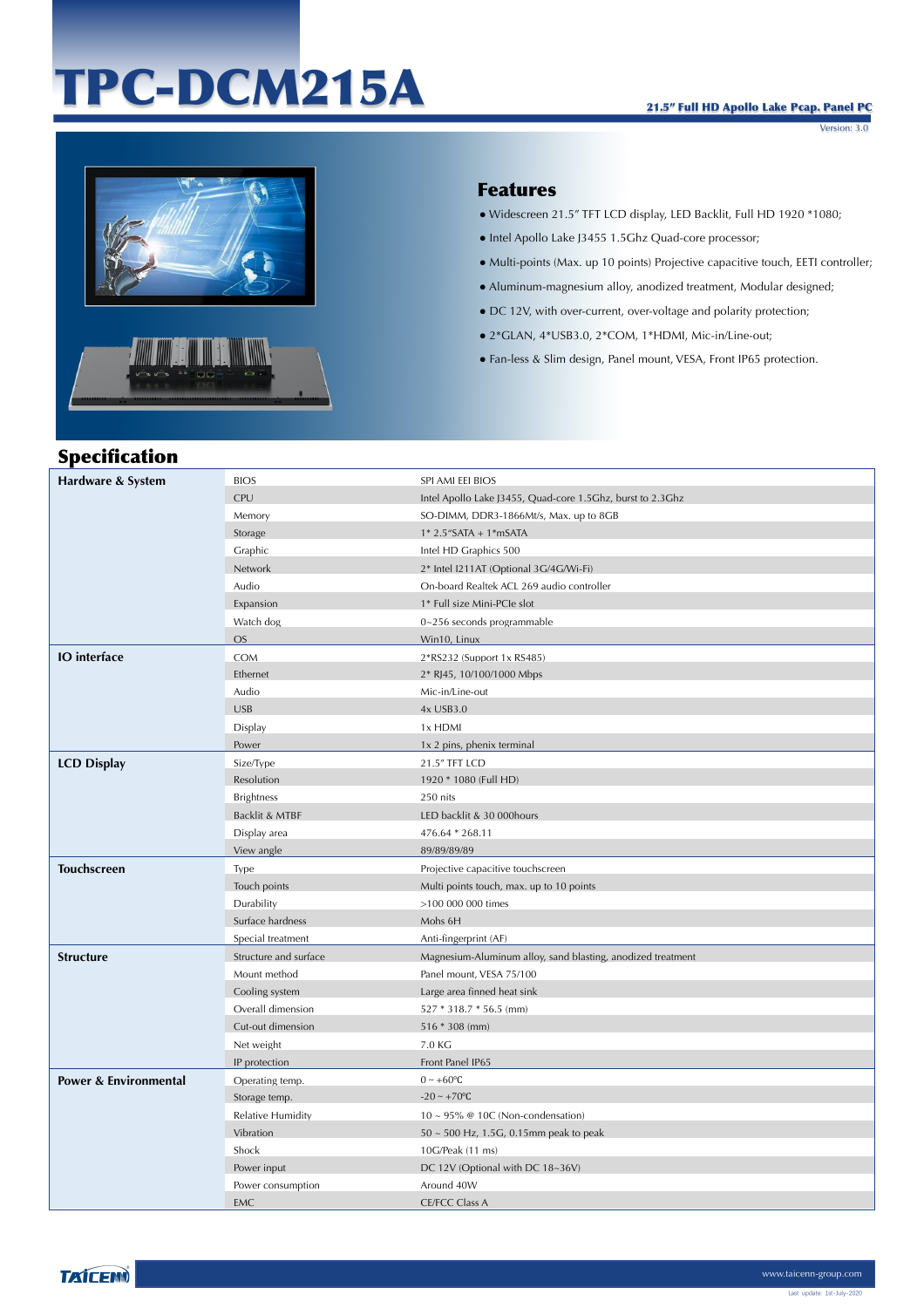# TPC-DCM215A

Version: 3.0



#### Features

- Widescreen 21.5" TFT LCD display, LED Backlit, Full HD 1920 \*1080;
- Intel Apollo Lake J3455 1.5Ghz Quad-core processor;
- Multi-points (Max. up 10 points) Projective capacitive touch, EETI controller;
- Aluminum-magnesium alloy, anodized treatment, Modular designed;
- DC 12V, with over-current, over-voltage and polarity protection;
- 2\*GLAN, 4\*USB3.0, 2\*COM, 1\*HDMI, Mic-in/Line-out;
- Fan-less & Slim design, Panel mount, VESA, Front IP65 protection.

## Specification

| Hardware & System                | <b>BIOS</b>           | SPI AMI EEI BIOS                                            |
|----------------------------------|-----------------------|-------------------------------------------------------------|
|                                  | CPU                   | Intel Apollo Lake J3455, Quad-core 1.5Ghz, burst to 2.3Ghz  |
|                                  | Memory                | SO-DIMM, DDR3-1866Mt/s, Max. up to 8GB                      |
|                                  | Storage               | $1* 2.5"$ SATA + $1*$ mSATA                                 |
|                                  | Graphic               | Intel HD Graphics 500                                       |
|                                  | Network               | 2* Intel I211AT (Optional 3G/4G/Wi-Fi)                      |
|                                  | Audio                 | On-board Realtek ACL 269 audio controller                   |
|                                  | Expansion             | 1* Full size Mini-PCIe slot                                 |
|                                  | Watch dog             | $0 \sim 256$ seconds programmable                           |
|                                  | <b>OS</b>             | Win10, Linux                                                |
| <b>IO</b> interface              | COM                   | 2*RS232 (Support 1x RS485)                                  |
|                                  | Ethernet              | 2* RJ45, 10/100/1000 Mbps                                   |
|                                  | Audio                 | Mic-in/Line-out                                             |
|                                  | <b>USB</b>            | 4x USB3.0                                                   |
|                                  | Display               | 1x HDMI                                                     |
|                                  | Power                 | 1x 2 pins, phenix terminal                                  |
| <b>LCD Display</b>               | Size/Type             | 21.5" TFT LCD                                               |
|                                  | Resolution            | 1920 * 1080 (Full HD)                                       |
|                                  | <b>Brightness</b>     | 250 nits                                                    |
|                                  | Backlit & MTBF        | LED backlit & 30 000hours                                   |
|                                  | Display area          | 476.64 * 268.11                                             |
|                                  | View angle            | 89/89/89/89                                                 |
|                                  |                       |                                                             |
| <b>Touchscreen</b>               | Type                  | Projective capacitive touchscreen                           |
|                                  | Touch points          | Multi points touch, max. up to 10 points                    |
|                                  | Durability            | >100 000 000 times                                          |
|                                  | Surface hardness      | Mohs 6H                                                     |
|                                  | Special treatment     | Anti-fingerprint (AF)                                       |
| <b>Structure</b>                 | Structure and surface | Magnesium-Aluminum alloy, sand blasting, anodized treatment |
|                                  | Mount method          | Panel mount, VESA 75/100                                    |
|                                  | Cooling system        | Large area finned heat sink                                 |
|                                  | Overall dimension     | 527 * 318.7 * 56.5 (mm)                                     |
|                                  | Cut-out dimension     | $516 * 308$ (mm)                                            |
|                                  | Net weight            | 7.0 KG                                                      |
|                                  | IP protection         | Front Panel IP65                                            |
| <b>Power &amp; Environmental</b> | Operating temp.       | $0 \sim +60$ °C                                             |
|                                  | Storage temp.         | $-20 \sim +70$ °C                                           |
|                                  | Relative Humidity     | $10 \sim 95\%$ @ 10C (Non-condensation)                     |
|                                  | Vibration             | $50 \sim 500$ Hz, 1.5G, 0.15mm peak to peak                 |
|                                  | Shock                 | 10G/Peak (11 ms)                                            |
|                                  | Power input           | DC 12V (Optional with DC 18~36V)                            |
|                                  | Power consumption     | Around 40W                                                  |